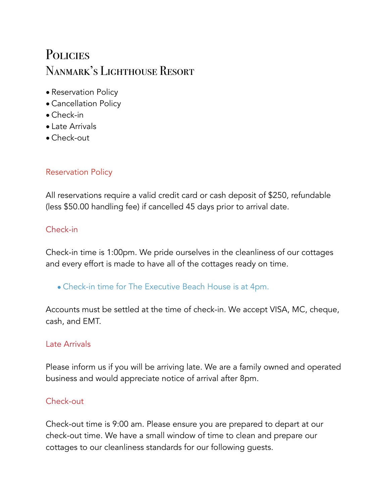# **POLICIES** Nanmark's Lighthouse Resort

- Reservation Policy
- Cancellation Policy
- Check-in
- Late Arrivals
- Check-out

# Reservation Policy

All reservations require a valid credit card or cash deposit of \$250, refundable (less \$50.00 handling fee) if cancelled 45 days prior to arrival date.

# Check-in

Check-in time is 1:00pm. We pride ourselves in the cleanliness of our cottages and every effort is made to have all of the cottages ready on time.

• Check-in time for The Executive Beach House is at 4pm.

Accounts must be settled at the time of check-in. We accept VISA, MC, cheque, cash, and EMT.

### Late Arrivals

Please inform us if you will be arriving late. We are a family owned and operated business and would appreciate notice of arrival after 8pm.

### Check-out

Check-out time is 9:00 am. Please ensure you are prepared to depart at our check-out time. We have a small window of time to clean and prepare our cottages to our cleanliness standards for our following guests.